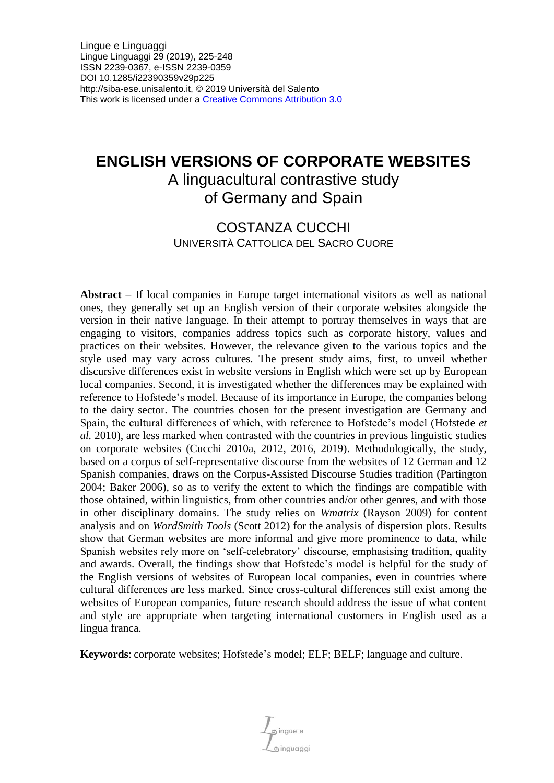# **ENGLISH VERSIONS OF CORPORATE WEBSITES**

# A linguacultural contrastive study of Germany and Spain

### COSTANZA CUCCHI UNIVERSITÀ CATTOLICA DEL SACRO CUORE

**Abstract** – If local companies in Europe target international visitors as well as national ones, they generally set up an English version of their corporate websites alongside the version in their native language. In their attempt to portray themselves in ways that are engaging to visitors, companies address topics such as corporate history, values and practices on their websites. However, the relevance given to the various topics and the style used may vary across cultures. The present study aims, first, to unveil whether discursive differences exist in website versions in English which were set up by European local companies. Second, it is investigated whether the differences may be explained with reference to Hofstede's model. Because of its importance in Europe, the companies belong to the dairy sector. The countries chosen for the present investigation are Germany and Spain, the cultural differences of which, with reference to Hofstede's model (Hofstede *et al.* 2010), are less marked when contrasted with the countries in previous linguistic studies on corporate websites (Cucchi 2010a, 2012, 2016, 2019). Methodologically, the study, based on a corpus of self-representative discourse from the websites of 12 German and 12 Spanish companies, draws on the Corpus-Assisted Discourse Studies tradition (Partington 2004; Baker 2006), so as to verify the extent to which the findings are compatible with those obtained, within linguistics, from other countries and/or other genres, and with those in other disciplinary domains. The study relies on *Wmatrix* (Rayson 2009) for content analysis and on *WordSmith Tools* (Scott 2012) for the analysis of dispersion plots. Results show that German websites are more informal and give more prominence to data, while Spanish websites rely more on 'self-celebratory' discourse, emphasising tradition, quality and awards. Overall, the findings show that Hofstede's model is helpful for the study of the English versions of websites of European local companies, even in countries where cultural differences are less marked. Since cross-cultural differences still exist among the websites of European companies, future research should address the issue of what content and style are appropriate when targeting international customers in English used as a lingua franca.

**Keywords**: corporate websites; Hofstede's model; ELF; BELF; language and culture.

 $\mathcal{L}_{\text{gingue e}}$ inguaggi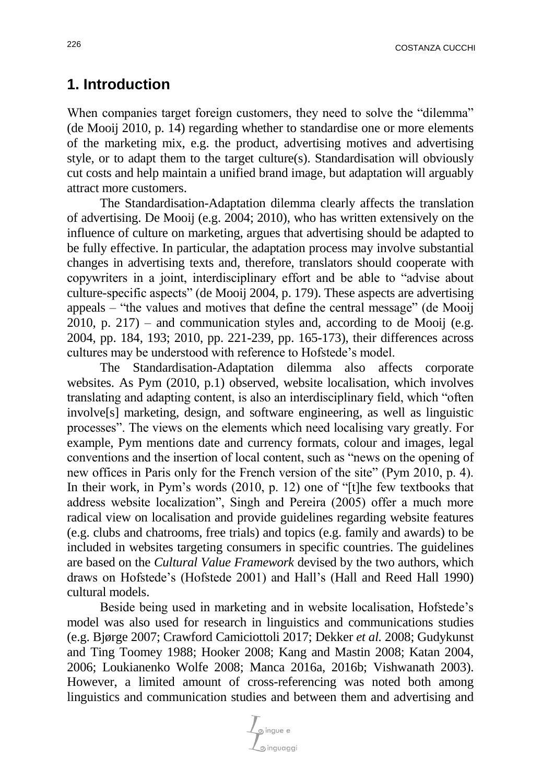### **1. Introduction**

When companies target foreign customers, they need to solve the "dilemma" (de Mooij 2010, p. 14) regarding whether to standardise one or more elements of the marketing mix, e.g. the product, advertising motives and advertising style, or to adapt them to the target culture(s). Standardisation will obviously cut costs and help maintain a unified brand image, but adaptation will arguably attract more customers.

The Standardisation-Adaptation dilemma clearly affects the translation of advertising. De Mooij (e.g. 2004; 2010), who has written extensively on the influence of culture on marketing, argues that advertising should be adapted to be fully effective. In particular, the adaptation process may involve substantial changes in advertising texts and, therefore, translators should cooperate with copywriters in a joint, interdisciplinary effort and be able to "advise about culture-specific aspects" (de Mooij 2004, p. 179). These aspects are advertising appeals – "the values and motives that define the central message" (de Mooij 2010, p.  $217$ ) – and communication styles and, according to de Mooij (e.g. 2004, pp. 184, 193; 2010, pp. 221-239, pp. 165-173), their differences across cultures may be understood with reference to Hofstede's model.

The Standardisation-Adaptation dilemma also affects corporate websites. As Pym (2010, p.1) observed, website localisation, which involves translating and adapting content, is also an interdisciplinary field, which "often involve[s] marketing, design, and software engineering, as well as linguistic processes". The views on the elements which need localising vary greatly. For example, Pym mentions date and currency formats, colour and images, legal conventions and the insertion of local content, such as "news on the opening of new offices in Paris only for the French version of the site" (Pym 2010, p. 4). In their work, in Pym's words (2010, p. 12) one of "[t]he few textbooks that address website localization", Singh and Pereira (2005) offer a much more radical view on localisation and provide guidelines regarding website features (e.g. clubs and chatrooms, free trials) and topics (e.g. family and awards) to be included in websites targeting consumers in specific countries. The guidelines are based on the *Cultural Value Framework* devised by the two authors, which draws on Hofstede's (Hofstede 2001) and Hall's (Hall and Reed Hall 1990) cultural models.

Beside being used in marketing and in website localisation, Hofstede's model was also used for research in linguistics and communications studies (e.g. Bjørge 2007; Crawford Camiciottoli 2017; Dekker *et al.* 2008; Gudykunst and Ting Toomey 1988; Hooker 2008; Kang and Mastin 2008; Katan 2004, 2006; Loukianenko Wolfe 2008; Manca 2016a, 2016b; Vishwanath 2003). However, a limited amount of cross-referencing was noted both among linguistics and communication studies and between them and advertising and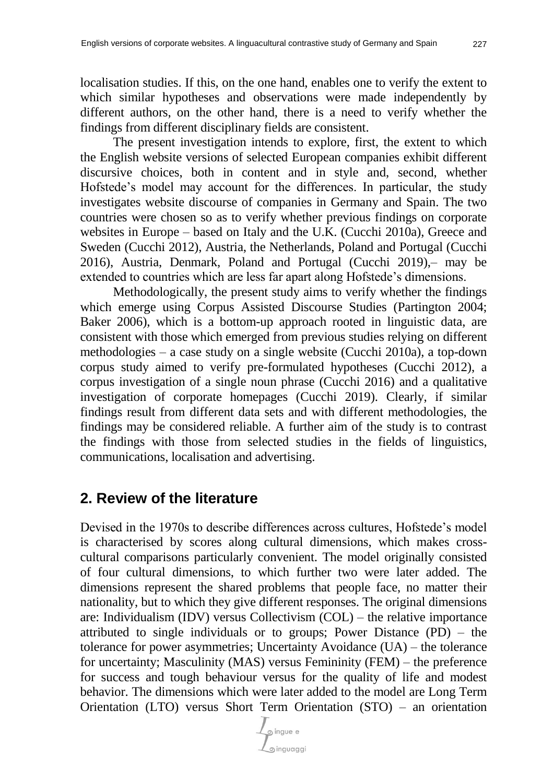localisation studies. If this, on the one hand, enables one to verify the extent to which similar hypotheses and observations were made independently by different authors, on the other hand, there is a need to verify whether the findings from different disciplinary fields are consistent.

The present investigation intends to explore, first, the extent to which the English website versions of selected European companies exhibit different discursive choices, both in content and in style and, second, whether Hofstede's model may account for the differences. In particular, the study investigates website discourse of companies in Germany and Spain. The two countries were chosen so as to verify whether previous findings on corporate websites in Europe – based on Italy and the U.K. (Cucchi 2010a), Greece and Sweden (Cucchi 2012), Austria, the Netherlands, Poland and Portugal (Cucchi 2016), Austria, Denmark, Poland and Portugal (Cucchi 2019),– may be extended to countries which are less far apart along Hofstede's dimensions.

Methodologically, the present study aims to verify whether the findings which emerge using Corpus Assisted Discourse Studies (Partington 2004; Baker 2006), which is a bottom-up approach rooted in linguistic data, are consistent with those which emerged from previous studies relying on different methodologies – a case study on a single website (Cucchi 2010a), a top-down corpus study aimed to verify pre-formulated hypotheses (Cucchi 2012), a corpus investigation of a single noun phrase (Cucchi 2016) and a qualitative investigation of corporate homepages (Cucchi 2019). Clearly, if similar findings result from different data sets and with different methodologies, the findings may be considered reliable. A further aim of the study is to contrast the findings with those from selected studies in the fields of linguistics, communications, localisation and advertising.

## **2. Review of the literature**

Devised in the 1970s to describe differences across cultures, Hofstede's model is characterised by scores along cultural dimensions, which makes crosscultural comparisons particularly convenient. The model originally consisted of four cultural dimensions, to which further two were later added. The dimensions represent the shared problems that people face, no matter their nationality, but to which they give different responses. The original dimensions are: Individualism (IDV) versus Collectivism (COL) – the relative importance attributed to single individuals or to groups; Power Distance (PD) – the tolerance for power asymmetries; Uncertainty Avoidance (UA) – the tolerance for uncertainty; Masculinity (MAS) versus Femininity (FEM) – the preference for success and tough behaviour versus for the quality of life and modest behavior. The dimensions which were later added to the model are Long Term Orientation (LTO) versus Short Term Orientation (STO) – an orientation

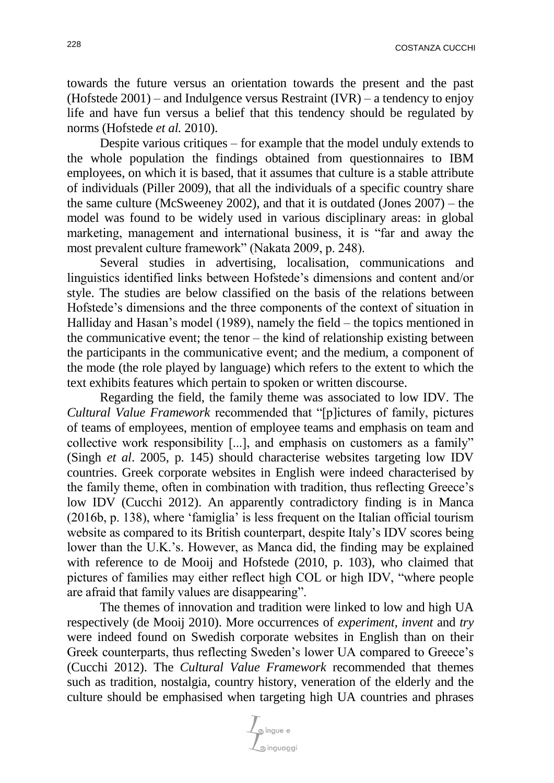towards the future versus an orientation towards the present and the past (Hofstede  $2001$ ) – and Indulgence versus Restraint (IVR) – a tendency to enjoy life and have fun versus a belief that this tendency should be regulated by norms (Hofstede *et al.* 2010).

Despite various critiques – for example that the model unduly extends to the whole population the findings obtained from questionnaires to IBM employees, on which it is based, that it assumes that culture is a stable attribute of individuals (Piller 2009), that all the individuals of a specific country share the same culture (McSweeney 2002), and that it is outdated (Jones 2007) – the model was found to be widely used in various disciplinary areas: in global marketing, management and international business, it is "far and away the most prevalent culture framework" (Nakata 2009, p. 248).

Several studies in advertising, localisation, communications and linguistics identified links between Hofstede's dimensions and content and/or style. The studies are below classified on the basis of the relations between Hofstede's dimensions and the three components of the context of situation in Halliday and Hasan's model (1989), namely the field – the topics mentioned in the communicative event; the tenor – the kind of relationship existing between the participants in the communicative event; and the medium, a component of the mode (the role played by language) which refers to the extent to which the text exhibits features which pertain to spoken or written discourse.

Regarding the field, the family theme was associated to low IDV. The *Cultural Value Framework* recommended that "[p]ictures of family, pictures of teams of employees, mention of employee teams and emphasis on team and collective work responsibility [...], and emphasis on customers as a family" (Singh *et al*. 2005, p. 145) should characterise websites targeting low IDV countries. Greek corporate websites in English were indeed characterised by the family theme, often in combination with tradition, thus reflecting Greece's low IDV (Cucchi 2012). An apparently contradictory finding is in Manca (2016b, p. 138), where 'famiglia' is less frequent on the Italian official tourism website as compared to its British counterpart, despite Italy's IDV scores being lower than the U.K.'s. However, as Manca did, the finding may be explained with reference to de Mooij and Hofstede (2010, p. 103), who claimed that pictures of families may either reflect high COL or high IDV, "where people are afraid that family values are disappearing".

The themes of innovation and tradition were linked to low and high UA respectively (de Mooij 2010). More occurrences of *experiment*, *invent* and *try* were indeed found on Swedish corporate websites in English than on their Greek counterparts, thus reflecting Sweden's lower UA compared to Greece's (Cucchi 2012). The *Cultural Value Framework* recommended that themes such as tradition, nostalgia, country history, veneration of the elderly and the culture should be emphasised when targeting high UA countries and phrases

 $\frac{1}{2}$  ingue e o inguaggi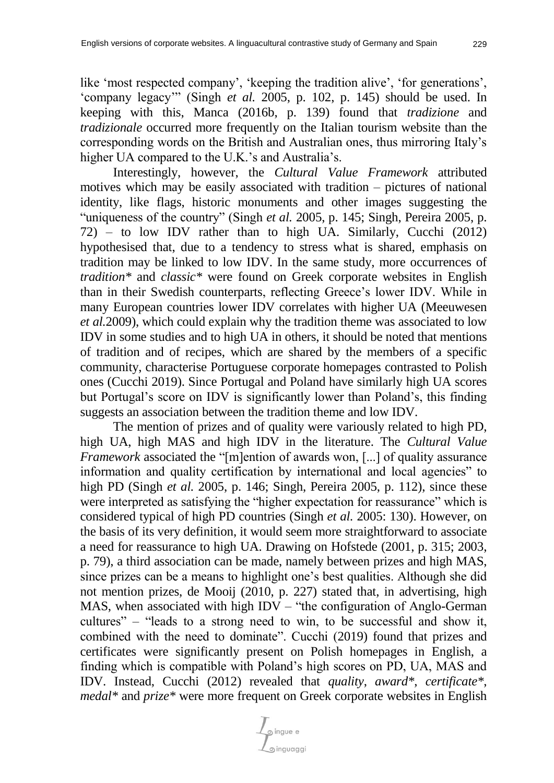like 'most respected company', 'keeping the tradition alive', 'for generations', 'company legacy'" (Singh *et al.* 2005, p. 102, p. 145) should be used. In keeping with this, Manca (2016b, p. 139) found that *tradizione* and *tradizionale* occurred more frequently on the Italian tourism website than the corresponding words on the British and Australian ones, thus mirroring Italy's higher UA compared to the U.K.'s and Australia's.

Interestingly, however, the *Cultural Value Framework* attributed motives which may be easily associated with tradition – pictures of national identity, like flags, historic monuments and other images suggesting the "uniqueness of the country" (Singh *et al.* 2005, p. 145; Singh, Pereira 2005, p. 72) – to low IDV rather than to high UA. Similarly, Cucchi (2012) hypothesised that, due to a tendency to stress what is shared, emphasis on tradition may be linked to low IDV. In the same study, more occurrences of *tradition\** and *classic\** were found on Greek corporate websites in English than in their Swedish counterparts, reflecting Greece's lower IDV. While in many European countries lower IDV correlates with higher UA (Meeuwesen *et al.*2009), which could explain why the tradition theme was associated to low IDV in some studies and to high UA in others, it should be noted that mentions of tradition and of recipes, which are shared by the members of a specific community, characterise Portuguese corporate homepages contrasted to Polish ones (Cucchi 2019). Since Portugal and Poland have similarly high UA scores but Portugal's score on IDV is significantly lower than Poland's, this finding suggests an association between the tradition theme and low IDV.

The mention of prizes and of quality were variously related to high PD, high UA, high MAS and high IDV in the literature. The *Cultural Value Framework* associated the "[m]ention of awards won, [...] of quality assurance information and quality certification by international and local agencies" to high PD (Singh *et al.* 2005, p. 146; Singh, Pereira 2005, p. 112), since these were interpreted as satisfying the "higher expectation for reassurance" which is considered typical of high PD countries (Singh *et al.* 2005: 130). However, on the basis of its very definition, it would seem more straightforward to associate a need for reassurance to high UA. Drawing on Hofstede (2001, p. 315; 2003, p. 79), a third association can be made, namely between prizes and high MAS, since prizes can be a means to highlight one's best qualities. Although she did not mention prizes, de Mooij (2010, p. 227) stated that, in advertising, high MAS, when associated with high IDV – "the configuration of Anglo-German" cultures" – "leads to a strong need to win, to be successful and show it, combined with the need to dominate". Cucchi (2019) found that prizes and certificates were significantly present on Polish homepages in English, a finding which is compatible with Poland's high scores on PD, UA, MAS and IDV. Instead, Cucchi (2012) revealed that *quality*, *award\**, *certificate\**, *medal\** and *prize\** were more frequent on Greek corporate websites in English

pingue e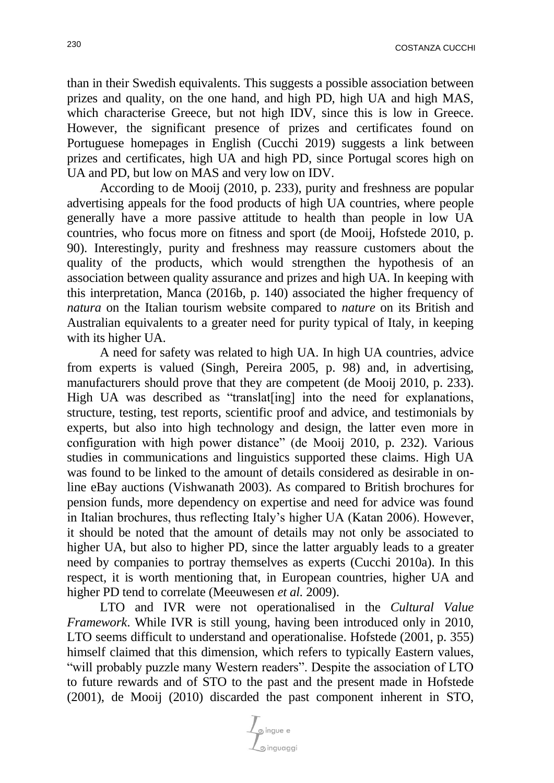than in their Swedish equivalents. This suggests a possible association between prizes and quality, on the one hand, and high PD, high UA and high MAS, which characterise Greece, but not high IDV, since this is low in Greece. However, the significant presence of prizes and certificates found on Portuguese homepages in English (Cucchi 2019) suggests a link between prizes and certificates, high UA and high PD, since Portugal scores high on UA and PD, but low on MAS and very low on IDV.

According to de Mooij (2010, p. 233), purity and freshness are popular advertising appeals for the food products of high UA countries, where people generally have a more passive attitude to health than people in low UA countries, who focus more on fitness and sport (de Mooij, Hofstede 2010, p. 90). Interestingly, purity and freshness may reassure customers about the quality of the products, which would strengthen the hypothesis of an association between quality assurance and prizes and high UA. In keeping with this interpretation, Manca (2016b, p. 140) associated the higher frequency of *natura* on the Italian tourism website compared to *nature* on its British and Australian equivalents to a greater need for purity typical of Italy, in keeping with its higher UA.

A need for safety was related to high UA. In high UA countries, advice from experts is valued (Singh, Pereira 2005, p. 98) and, in advertising, manufacturers should prove that they are competent (de Mooij 2010, p. 233). High UA was described as "translat [ing] into the need for explanations, structure, testing, test reports, scientific proof and advice, and testimonials by experts, but also into high technology and design, the latter even more in configuration with high power distance" (de Mooij 2010, p. 232). Various studies in communications and linguistics supported these claims. High UA was found to be linked to the amount of details considered as desirable in online eBay auctions (Vishwanath 2003). As compared to British brochures for pension funds, more dependency on expertise and need for advice was found in Italian brochures, thus reflecting Italy's higher UA (Katan 2006). However, it should be noted that the amount of details may not only be associated to higher UA, but also to higher PD, since the latter arguably leads to a greater need by companies to portray themselves as experts (Cucchi 2010a). In this respect, it is worth mentioning that, in European countries, higher UA and higher PD tend to correlate (Meeuwesen *et al.* 2009).

LTO and IVR were not operationalised in the *Cultural Value Framework*. While IVR is still young, having been introduced only in 2010, LTO seems difficult to understand and operationalise. Hofstede (2001, p. 355) himself claimed that this dimension, which refers to typically Eastern values, "will probably puzzle many Western readers". Despite the association of LTO to future rewards and of STO to the past and the present made in Hofstede (2001), de Mooij (2010) discarded the past component inherent in STO,

y<br>L⊙ ingue e o inguaggi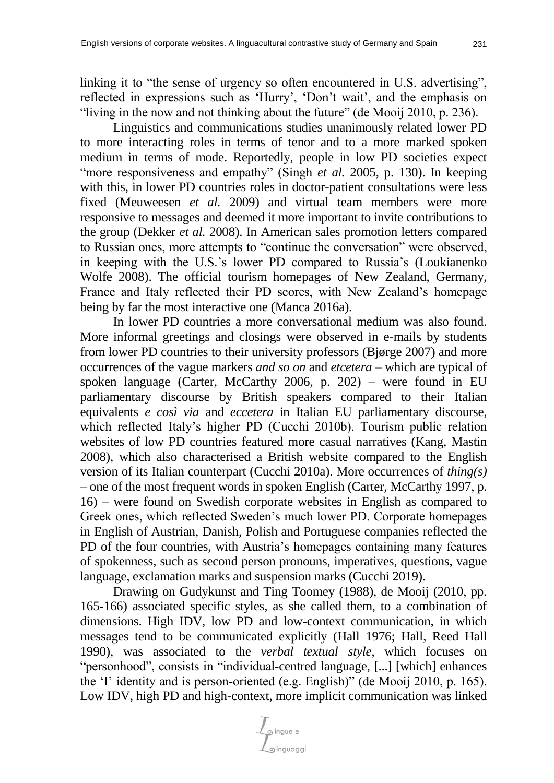linking it to "the sense of urgency so often encountered in U.S. advertising", reflected in expressions such as 'Hurry', 'Don't wait', and the emphasis on "living in the now and not thinking about the future" (de Mooij 2010, p. 236).

Linguistics and communications studies unanimously related lower PD to more interacting roles in terms of tenor and to a more marked spoken medium in terms of mode. Reportedly, people in low PD societies expect "more responsiveness and empathy" (Singh *et al.* 2005, p. 130). In keeping with this, in lower PD countries roles in doctor-patient consultations were less fixed (Meuweesen *et al.* 2009) and virtual team members were more responsive to messages and deemed it more important to invite contributions to the group (Dekker *et al.* 2008). In American sales promotion letters compared to Russian ones, more attempts to "continue the conversation" were observed, in keeping with the U.S.'s lower PD compared to Russia's (Loukianenko Wolfe 2008). The official tourism homepages of New Zealand, Germany, France and Italy reflected their PD scores, with New Zealand's homepage being by far the most interactive one (Manca 2016a).

In lower PD countries a more conversational medium was also found. More informal greetings and closings were observed in e-mails by students from lower PD countries to their university professors (Bjørge 2007) and more occurrences of the vague markers *and so on* and *etcetera* – which are typical of spoken language (Carter, McCarthy 2006, p. 202) – were found in EU parliamentary discourse by British speakers compared to their Italian equivalents *e così via* and *eccetera* in Italian EU parliamentary discourse, which reflected Italy's higher PD (Cucchi 2010b). Tourism public relation websites of low PD countries featured more casual narratives (Kang, Mastin 2008), which also characterised a British website compared to the English version of its Italian counterpart (Cucchi 2010a). More occurrences of *thing(s)* – one of the most frequent words in spoken English (Carter, McCarthy 1997, p. 16) – were found on Swedish corporate websites in English as compared to Greek ones, which reflected Sweden's much lower PD. Corporate homepages in English of Austrian, Danish, Polish and Portuguese companies reflected the PD of the four countries, with Austria's homepages containing many features of spokenness, such as second person pronouns, imperatives, questions, vague language, exclamation marks and suspension marks (Cucchi 2019).

Drawing on Gudykunst and Ting Toomey (1988), de Mooij (2010, pp. 165-166) associated specific styles, as she called them, to a combination of dimensions. High IDV, low PD and low-context communication, in which messages tend to be communicated explicitly (Hall 1976; Hall, Reed Hall 1990), was associated to the *verbal textual style*, which focuses on "personhood", consists in "individual-centred language, [...] [which] enhances the 'I' identity and is person-oriented (e.g. English)" (de Mooij 2010, p. 165). Low IDV, high PD and high-context, more implicit communication was linked

pingue e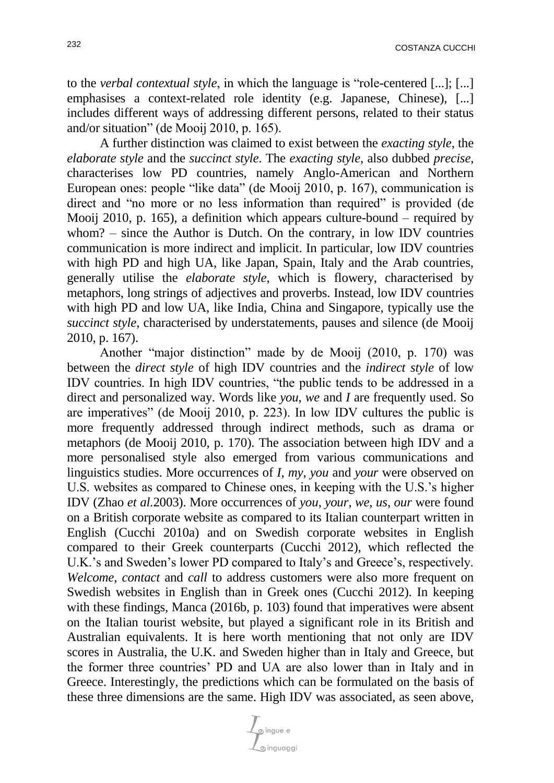to the *verbal contextual style*, in which the language is "role-centered [...]; [...] emphasises a context-related role identity (e.g. Japanese, Chinese), [...] includes different ways of addressing different persons, related to their status and/or situation" (de Mooij 2010, p. 165).

A further distinction was claimed to exist between the *exacting style*, the *elaborate style* and the *succinct style*. The *exacting style*, also dubbed *precise*, characterises low PD countries, namely Anglo-American and Northern European ones: people "like data" (de Mooij 2010, p. 167), communication is direct and "no more or no less information than required" is provided (de Mooij 2010, p. 165), a definition which appears culture-bound – required by whom? – since the Author is Dutch. On the contrary, in low IDV countries communication is more indirect and implicit. In particular, low IDV countries with high PD and high UA, like Japan, Spain, Italy and the Arab countries, generally utilise the *elaborate style*, which is flowery, characterised by metaphors, long strings of adjectives and proverbs. Instead, low IDV countries with high PD and low UA, like India, China and Singapore, typically use the *succinct style*, characterised by understatements, pauses and silence (de Mooij 2010, p. 167).

Another "major distinction" made by de Mooij (2010, p. 170) was between the *direct style* of high IDV countries and the *indirect style* of low IDV countries. In high IDV countries, "the public tends to be addressed in a direct and personalized way. Words like *you*, *we* and *I* are frequently used. So are imperatives" (de Mooij 2010, p. 223). In low IDV cultures the public is more frequently addressed through indirect methods, such as drama or metaphors (de Mooij 2010, p. 170). The association between high IDV and a more personalised style also emerged from various communications and linguistics studies. More occurrences of *I*, *my*, *you* and *your* were observed on U.S. websites as compared to Chinese ones, in keeping with the U.S.'s higher IDV (Zhao *et al.*2003). More occurrences of *you*, *your*, *we*, *us*, *our* were found on a British corporate website as compared to its Italian counterpart written in English (Cucchi 2010a) and on Swedish corporate websites in English compared to their Greek counterparts (Cucchi 2012), which reflected the U.K.'s and Sweden's lower PD compared to Italy's and Greece's, respectively. *Welcome*, *contact* and *call* to address customers were also more frequent on Swedish websites in English than in Greek ones (Cucchi 2012). In keeping with these findings, Manca (2016b, p. 103) found that imperatives were absent on the Italian tourist website, but played a significant role in its British and Australian equivalents. It is here worth mentioning that not only are IDV scores in Australia, the U.K. and Sweden higher than in Italy and Greece, but the former three countries' PD and UA are also lower than in Italy and in Greece. Interestingly, the predictions which can be formulated on the basis of these three dimensions are the same. High IDV was associated, as seen above,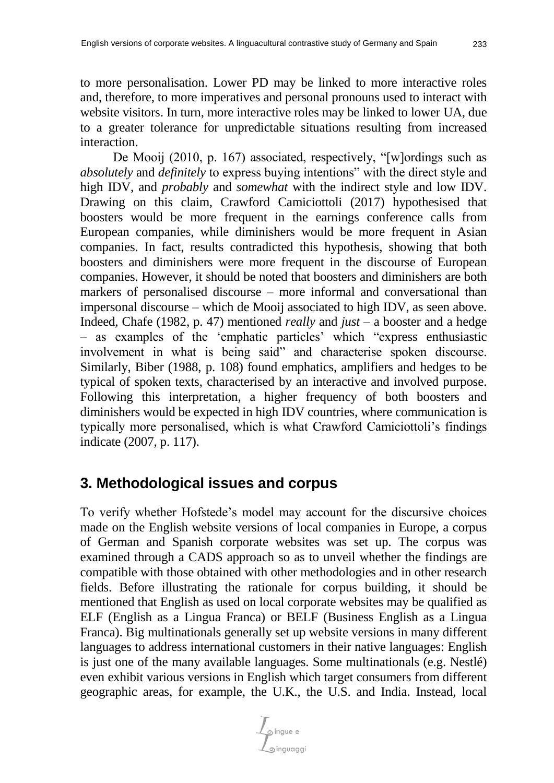to more personalisation. Lower PD may be linked to more interactive roles and, therefore, to more imperatives and personal pronouns used to interact with website visitors. In turn, more interactive roles may be linked to lower UA, due to a greater tolerance for unpredictable situations resulting from increased interaction.

De Mooij (2010, p. 167) associated, respectively, "[w]ordings such as *absolutely* and *definitely* to express buying intentions" with the direct style and high IDV, and *probably* and *somewhat* with the indirect style and low IDV. Drawing on this claim, Crawford Camiciottoli (2017) hypothesised that boosters would be more frequent in the earnings conference calls from European companies, while diminishers would be more frequent in Asian companies. In fact, results contradicted this hypothesis, showing that both boosters and diminishers were more frequent in the discourse of European companies. However, it should be noted that boosters and diminishers are both markers of personalised discourse – more informal and conversational than impersonal discourse – which de Mooij associated to high IDV, as seen above. Indeed, Chafe (1982, p. 47) mentioned *really* and *just* – a booster and a hedge – as examples of the 'emphatic particles' which "express enthusiastic involvement in what is being said" and characterise spoken discourse. Similarly, Biber (1988, p. 108) found emphatics, amplifiers and hedges to be typical of spoken texts, characterised by an interactive and involved purpose. Following this interpretation, a higher frequency of both boosters and diminishers would be expected in high IDV countries, where communication is typically more personalised, which is what Crawford Camiciottoli's findings indicate (2007, p. 117).

# **3. Methodological issues and corpus**

To verify whether Hofstede's model may account for the discursive choices made on the English website versions of local companies in Europe, a corpus of German and Spanish corporate websites was set up. The corpus was examined through a CADS approach so as to unveil whether the findings are compatible with those obtained with other methodologies and in other research fields. Before illustrating the rationale for corpus building, it should be mentioned that English as used on local corporate websites may be qualified as ELF (English as a Lingua Franca) or BELF (Business English as a Lingua Franca). Big multinationals generally set up website versions in many different languages to address international customers in their native languages: English is just one of the many available languages. Some multinationals (e.g. Nestlé) even exhibit various versions in English which target consumers from different geographic areas, for example, the U.K., the U.S. and India. Instead, local

pingue e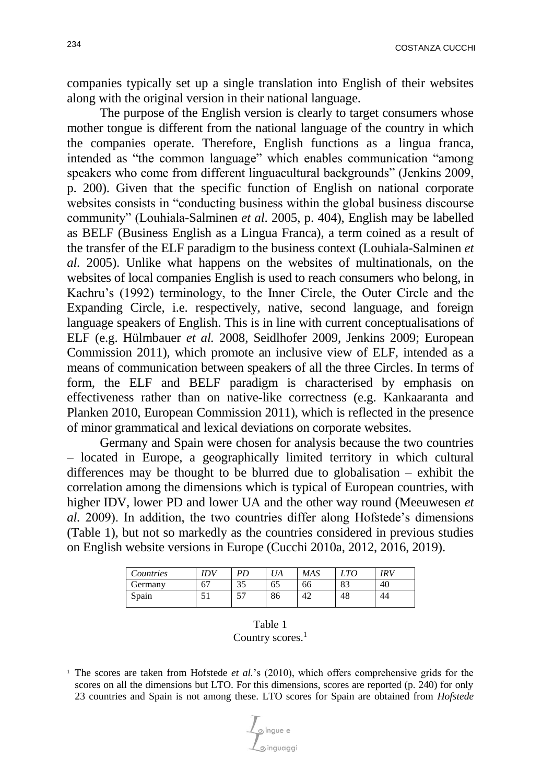companies typically set up a single translation into English of their websites along with the original version in their national language.

The purpose of the English version is clearly to target consumers whose mother tongue is different from the national language of the country in which the companies operate. Therefore, English functions as a lingua franca, intended as "the common language" which enables communication "among speakers who come from different linguacultural backgrounds" (Jenkins 2009, p. 200). Given that the specific function of English on national corporate websites consists in "conducting business within the global business discourse community" (Louhiala-Salminen *et al*. 2005, p. 404), English may be labelled as BELF (Business English as a Lingua Franca), a term coined as a result of the transfer of the ELF paradigm to the business context (Louhiala-Salminen *et al.* 2005). Unlike what happens on the websites of multinationals, on the websites of local companies English is used to reach consumers who belong, in Kachru's (1992) terminology, to the Inner Circle, the Outer Circle and the Expanding Circle, i.e. respectively, native, second language, and foreign language speakers of English. This is in line with current conceptualisations of ELF (e.g. Hülmbauer *et al.* 2008, Seidlhofer 2009, Jenkins 2009; European Commission 2011), which promote an inclusive view of ELF, intended as a means of communication between speakers of all the three Circles. In terms of form, the ELF and BELF paradigm is characterised by emphasis on effectiveness rather than on native-like correctness (e.g. Kankaaranta and Planken 2010, European Commission 2011), which is reflected in the presence of minor grammatical and lexical deviations on corporate websites.

Germany and Spain were chosen for analysis because the two countries – located in Europe, a geographically limited territory in which cultural differences may be thought to be blurred due to globalisation – exhibit the correlation among the dimensions which is typical of European countries, with higher IDV, lower PD and lower UA and the other way round (Meeuwesen *et al.* 2009). In addition, the two countries differ along Hofstede's dimensions (Table 1), but not so markedly as the countries considered in previous studies on English website versions in Europe (Cucchi 2010a, 2012, 2016, 2019).

| Countries | ΙDV | PD        | UA | <b>MAS</b> | $\mathcal{L} T O$ | IRV |
|-----------|-----|-----------|----|------------|-------------------|-----|
| Germanv   | 67  | າ ະ<br>ЭJ | 65 | 66         | 83                | 40  |
| Spain     | ◡   | --<br>◡   | 86 | 42         | 48                | 44  |

| Table 1             |  |
|---------------------|--|
| Country scores. $1$ |  |

<sup>1</sup> The scores are taken from Hofstede *et al.*'s (2010), which offers comprehensive grids for the scores on all the dimensions but LTO. For this dimensions, scores are reported (p. 240) for only 23 countries and Spain is not among these. LTO scores for Spain are obtained from *Hofstede* 

o inquagai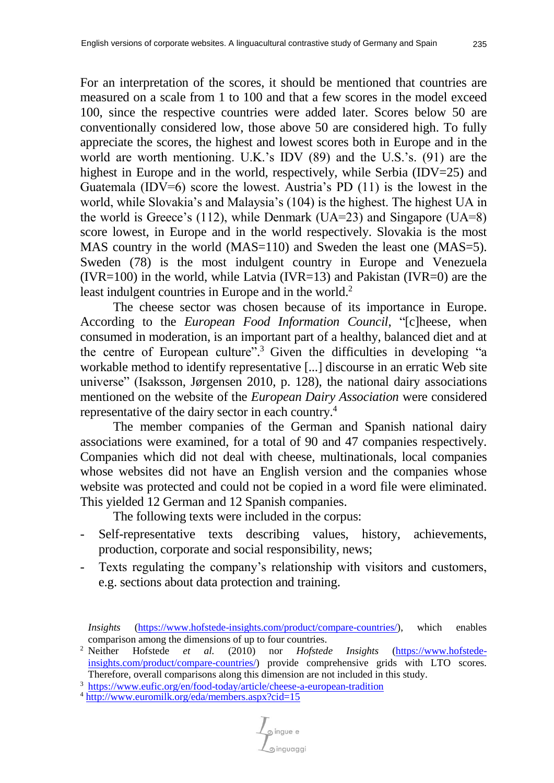For an interpretation of the scores, it should be mentioned that countries are measured on a scale from 1 to 100 and that a few scores in the model exceed 100, since the respective countries were added later. Scores below 50 are conventionally considered low, those above 50 are considered high. To fully appreciate the scores, the highest and lowest scores both in Europe and in the world are worth mentioning. U.K.'s IDV (89) and the U.S.'s. (91) are the highest in Europe and in the world, respectively, while Serbia (IDV=25) and Guatemala (IDV=6) score the lowest. Austria's PD  $(11)$  is the lowest in the world, while Slovakia's and Malaysia's (104) is the highest. The highest UA in the world is Greece's (112), while Denmark (UA=23) and Singapore (UA=8) score lowest, in Europe and in the world respectively. Slovakia is the most MAS country in the world (MAS=110) and Sweden the least one (MAS=5). Sweden (78) is the most indulgent country in Europe and Venezuela (IVR=100) in the world, while Latvia (IVR=13) and Pakistan (IVR=0) are the least indulgent countries in Europe and in the world. 2

The cheese sector was chosen because of its importance in Europe. According to the *European Food Information Council*, "[c]heese, when consumed in moderation, is an important part of a healthy, balanced diet and at the centre of European culture". <sup>3</sup> Given the difficulties in developing "a workable method to identify representative [...] discourse in an erratic Web site universe" (Isaksson, Jørgensen 2010, p. 128), the national dairy associations mentioned on the website of the *European Dairy Association* were considered representative of the dairy sector in each country. 4

The member companies of the German and Spanish national dairy associations were examined, for a total of 90 and 47 companies respectively. Companies which did not deal with cheese, multinationals, local companies whose websites did not have an English version and the companies whose website was protected and could not be copied in a word file were eliminated. This yielded 12 German and 12 Spanish companies.

The following texts were included in the corpus:

- Self-representative texts describing values, history, achievements, production, corporate and social responsibility, news;
- Texts regulating the company's relationship with visitors and customers, e.g. sections about data protection and training.

*Insights* [\(https://www.hofstede-insights.com/product/compare-countries/\)](https://www.hofstede-insights.com/product/compare-countries/), which enables comparison among the dimensions of up to four countries.<br><sup>2</sup> Neither Hofstede *et al.* (2010) nor *Hofsted* 

<sup>2</sup> Neither Hofstede *et al.* (2010) nor *Hofstede Insights* [\(https://www.hofstede](https://www.hofstede-insights.com/product/compare-countries/)[insights.com/product/compare-countries/\)](https://www.hofstede-insights.com/product/compare-countries/) provide comprehensive grids with LTO scores. Therefore, overall comparisons along this dimension are not included in this study.

<sup>3</sup> <https://www.eufic.org/en/food-today/article/cheese-a-european-tradition>

<sup>4</sup> <http://www.euromilk.org/eda/members.aspx?cid=15>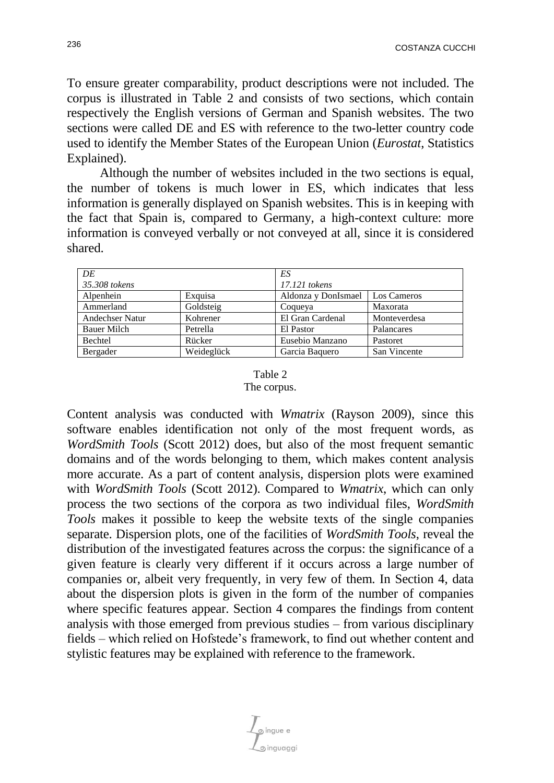To ensure greater comparability, product descriptions were not included. The corpus is illustrated in Table 2 and consists of two sections, which contain respectively the English versions of German and Spanish websites. The two sections were called DE and ES with reference to the two-letter country code used to identify the Member States of the European Union (*Eurostat*, Statistics Explained).

Although the number of websites included in the two sections is equal, the number of tokens is much lower in ES, which indicates that less information is generally displayed on Spanish websites. This is in keeping with the fact that Spain is, compared to Germany, a high-context culture: more information is conveyed verbally or not conveyed at all, since it is considered shared.

| DE                 |            | ES                  |              |  |
|--------------------|------------|---------------------|--------------|--|
| 35.308 tokens      |            | 17.121 tokens       |              |  |
| Alpenhein          | Exquisa    | Aldonza y DonIsmael | Los Cameros  |  |
| Ammerland          | Goldsteig  | Coqueya             | Maxorata     |  |
| Andechser Natur    | Kohrener   | El Gran Cardenal    | Monteverdesa |  |
| <b>Bauer Milch</b> | Petrella   | El Pastor           | Palancares   |  |
| Bechtel            | Rücker     | Eusebio Manzano     | Pastoret     |  |
| Bergader           | Weideglück | Garcia Baquero      | San Vincente |  |

#### Table 2 The corpus.

Content analysis was conducted with *Wmatrix* (Rayson 2009), since this software enables identification not only of the most frequent words, as *WordSmith Tools* (Scott 2012) does, but also of the most frequent semantic domains and of the words belonging to them, which makes content analysis more accurate. As a part of content analysis, dispersion plots were examined with *WordSmith Tools* (Scott 2012). Compared to *Wmatrix*, which can only process the two sections of the corpora as two individual files, *WordSmith Tools* makes it possible to keep the website texts of the single companies separate. Dispersion plots, one of the facilities of *WordSmith Tools*, reveal the distribution of the investigated features across the corpus: the significance of a given feature is clearly very different if it occurs across a large number of companies or, albeit very frequently, in very few of them. In Section 4, data about the dispersion plots is given in the form of the number of companies where specific features appear. Section 4 compares the findings from content analysis with those emerged from previous studies – from various disciplinary fields – which relied on Hofstede's framework, to find out whether content and stylistic features may be explained with reference to the framework.

்<br>அingue e o inguaggi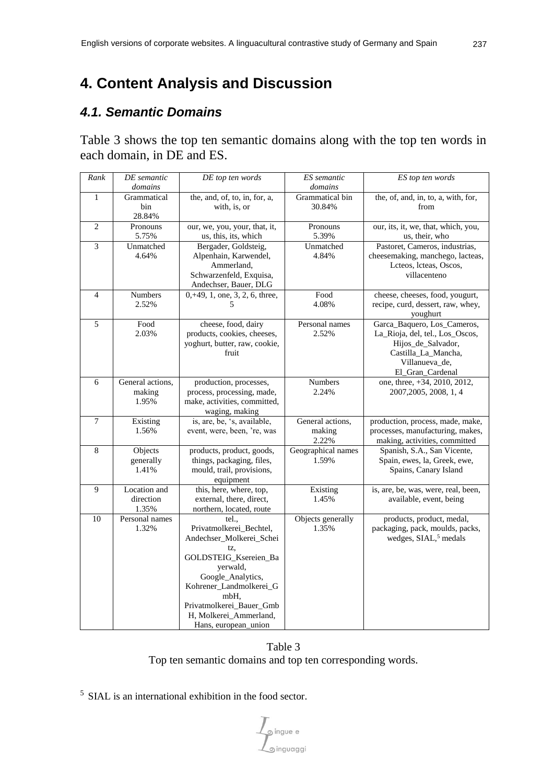# **4. Content Analysis and Discussion**

## *4.1. Semantic Domains*

Table 3 shows the top ten semantic domains along with the top ten words in each domain, in DE and ES.

| Rank           | DE semantic      | DE top ten words                     | ES semantic        | ES top ten words                                            |
|----------------|------------------|--------------------------------------|--------------------|-------------------------------------------------------------|
|                | domains          |                                      | domains            |                                                             |
| $\mathbf{1}$   | Grammatical      | the, and, of, to, in, for, a,        | Grammatical bin    | the, of, and, in, to, a, with, for,                         |
|                | bin              | with, is, or                         | 30.84%             | from                                                        |
|                | 28.84%           |                                      |                    |                                                             |
| $\overline{c}$ | Pronouns         | our, we, you, your, that, it,        | Pronouns           | our, its, it, we, that, which, you,                         |
|                | 5.75%            | us, this, its, which                 | 5.39%              | us, their, who                                              |
| $\overline{3}$ | Unmatched        | Bergader, Goldsteig,                 | Unmatched          | Pastoret, Cameros, industrias,                              |
|                | 4.64%            | Alpenhain, Karwendel,                | 4.84%              | cheesemaking, manchego, lacteas,                            |
|                |                  | Ammerland,                           |                    | Lcteos, lcteas, Oscos,                                      |
|                |                  | Schwarzenfeld, Exquisa,              |                    | villacenteno                                                |
|                |                  | Andechser, Bauer, DLG                |                    |                                                             |
| $\overline{4}$ | Numbers          | $0, +49, 1,$ one, 3, 2, 6, three,    | Food               | cheese, cheeses, food, yougurt,                             |
|                | 2.52%            | 5                                    | 4.08%              | recipe, curd, dessert, raw, whey,                           |
|                |                  |                                      |                    | youghurt                                                    |
| $\overline{5}$ | Food             | cheese, food, dairy                  | Personal names     | Garca_Baquero, Los_Cameros,                                 |
|                | 2.03%            | products, cookies, cheeses,          | 2.52%              | La_Rioja, del, tel., Los_Oscos,                             |
|                |                  | yoghurt, butter, raw, cookie,        |                    | Hijos_de_Salvador,                                          |
|                |                  | fruit                                |                    | Castilla_La_Mancha,                                         |
|                |                  |                                      |                    | Villanueva_de,                                              |
|                |                  |                                      |                    | El_Gran_Cardenal                                            |
| 6              | General actions, | production, processes,               | Numbers            | one, three, +34, 2010, 2012,                                |
|                | making           | process, processing, made,           | 2.24%              | 2007, 2005, 2008, 1, 4                                      |
|                | 1.95%            | make, activities, committed,         |                    |                                                             |
|                |                  | waging, making                       |                    |                                                             |
| 7              | Existing         | is, are, be, 's, available,          | General actions,   | production, process, made, make,                            |
|                | 1.56%            | event, were, been, 're, was          | making             | processes, manufacturing, makes,                            |
|                |                  |                                      | 2.22%              | making, activities, committed                               |
| 8              | Objects          | products, product, goods,            | Geographical names | Spanish, S.A., San Vicente,<br>Spain, ewes, la, Greek, ewe, |
|                | generally        | things, packaging, files,            | 1.59%              |                                                             |
|                | 1.41%            | mould, trail, provisions,            |                    | Spains, Canary Island                                       |
| 9              | Location and     | equipment<br>this, here, where, top, | Existing           | is, are, be, was, were, real, been,                         |
|                | direction        | external, there, direct,             | 1.45%              | available, event, being                                     |
|                | 1.35%            | northern, located, route             |                    |                                                             |
| 10             | Personal names   | tel.                                 | Objects generally  | products, product, medal,                                   |
|                | 1.32%            | Privatmolkerei_Bechtel,              | 1.35%              | packaging, pack, moulds, packs,                             |
|                |                  | Andechser_Molkerei_Schei             |                    | wedges, SIAL, <sup>5</sup> medals                           |
|                |                  | tz,                                  |                    |                                                             |
|                |                  | GOLDSTEIG_Ksereien_Ba                |                    |                                                             |
|                |                  | yerwald,                             |                    |                                                             |
|                |                  | Google_Analytics,                    |                    |                                                             |
|                |                  | Kohrener_Landmolkerei_G              |                    |                                                             |
|                |                  | mbH,                                 |                    |                                                             |
|                |                  | Privatmolkerei Bauer Gmb             |                    |                                                             |
|                |                  | H, Molkerei_Ammerland,               |                    |                                                             |
|                |                  | Hans, european_union                 |                    |                                                             |

Table 3

Top ten semantic domains and top ten corresponding words.

<sup>5</sup> SIAL is an international exhibition in the food sector.

 $\int_{\text{S}}$ ingue e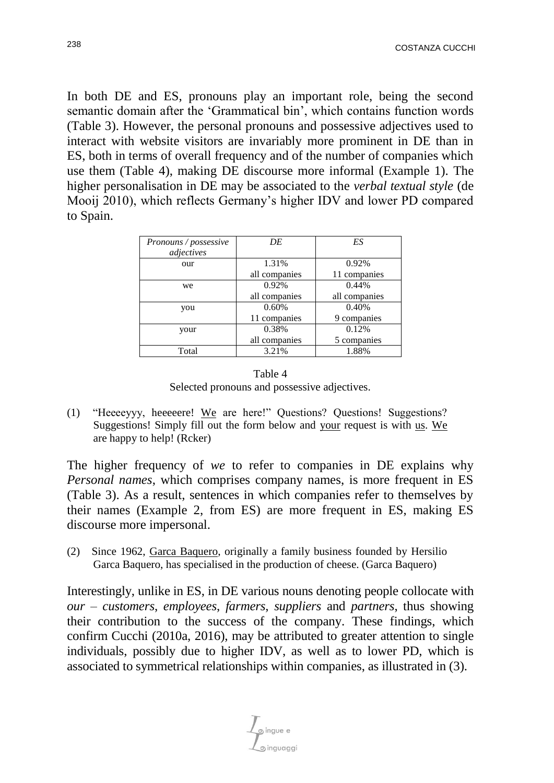In both DE and ES, pronouns play an important role, being the second semantic domain after the 'Grammatical bin', which contains function words (Table 3). However, the personal pronouns and possessive adjectives used to interact with website visitors are invariably more prominent in DE than in ES, both in terms of overall frequency and of the number of companies which use them (Table 4), making DE discourse more informal (Example 1). The higher personalisation in DE may be associated to the *verbal textual style* (de Mooij 2010), which reflects Germany's higher IDV and lower PD compared to Spain.

| Pronouns / possessive | DE            | ES            |
|-----------------------|---------------|---------------|
| adjectives            |               |               |
| our                   | 1.31%         | 0.92%         |
|                       | all companies | 11 companies  |
| we                    | 0.92%         | 0.44%         |
|                       | all companies | all companies |
| you                   | 0.60%         | 0.40%         |
|                       | 11 companies  | 9 companies   |
| your                  | 0.38%         | 0.12%         |
|                       | all companies | 5 companies   |
| Total                 | 3.21%         | 1.88%         |



(1) "Heeeeyyy, heeeeere! We are here!" Questions? Questions! Suggestions? Suggestions! Simply fill out the form below and your request is with us. We are happy to help! (Rcker)

The higher frequency of *we* to refer to companies in DE explains why *Personal names*, which comprises company names, is more frequent in ES (Table 3). As a result, sentences in which companies refer to themselves by their names (Example 2, from ES) are more frequent in ES, making ES discourse more impersonal.

(2) Since 1962, Garca Baquero, originally a family business founded by Hersilio Garca Baquero, has specialised in the production of cheese. (Garca Baquero)

Interestingly, unlike in ES, in DE various nouns denoting people collocate with *our* – *customers*, *employees*, *farmers*, *suppliers* and *partners*, thus showing their contribution to the success of the company. These findings, which confirm Cucchi (2010a, 2016), may be attributed to greater attention to single individuals, possibly due to higher IDV, as well as to lower PD, which is associated to symmetrical relationships within companies, as illustrated in (3).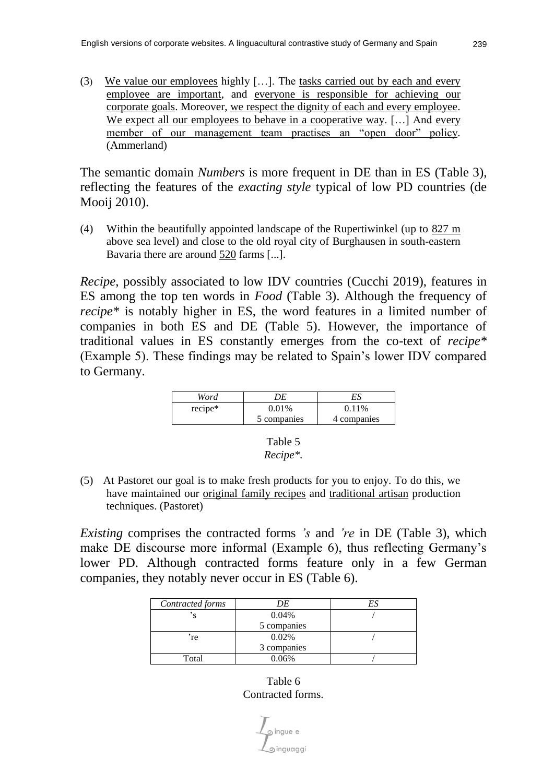(3) We value our employees highly […]. The tasks carried out by each and every employee are important, and everyone is responsible for achieving our corporate goals. Moreover, we respect the dignity of each and every employee. We expect all our employees to behave in a cooperative way. [...] And every member of our management team practises an "open door" policy. (Ammerland)

The semantic domain *Numbers* is more frequent in DE than in ES (Table 3), reflecting the features of the *exacting style* typical of low PD countries (de Mooij 2010).

(4) Within the beautifully appointed landscape of the Rupertiwinkel (up to 827 m above sea level) and close to the old royal city of Burghausen in south-eastern Bavaria there are around 520 farms [...].

*Recipe*, possibly associated to low IDV countries (Cucchi 2019), features in ES among the top ten words in *Food* (Table 3). Although the frequency of *recipe\** is notably higher in ES, the word features in a limited number of companies in both ES and DE (Table 5). However, the importance of traditional values in ES constantly emerges from the co-text of *recipe\**  (Example 5). These findings may be related to Spain's lower IDV compared to Germany.

| Word    |             | ES.         |
|---------|-------------|-------------|
| recipe* | 0.01%       | $0.11\%$    |
|         | 5 companies | 4 companies |



(5) At Pastoret our goal is to make fresh products for you to enjoy. To do this, we have maintained our original family recipes and traditional artisan production techniques. (Pastoret)

*Existing* comprises the contracted forms *'s* and *'re* in DE (Table 3), which make DE discourse more informal (Example 6), thus reflecting Germany's lower PD. Although contracted forms feature only in a few German companies, they notably never occur in ES (Table 6).

| Contracted forms | DE          |  |
|------------------|-------------|--|
|                  | 0.04%       |  |
|                  | 5 companies |  |
| 're              | 0.02%       |  |
|                  | 3 companies |  |
| Total            | 0.06%       |  |

Table 6 Contracted forms.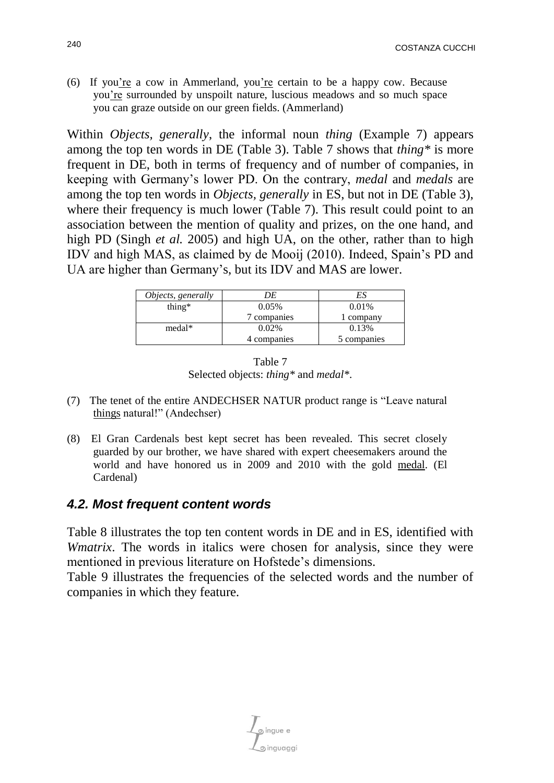(6) If you're a cow in Ammerland, you're certain to be a happy cow. Because you're surrounded by unspoilt nature, luscious meadows and so much space you can graze outside on our green fields. (Ammerland)

Within *Objects, generally*, the informal noun *thing* (Example 7) appears among the top ten words in DE (Table 3). Table 7 shows that *thing\** is more frequent in DE, both in terms of frequency and of number of companies, in keeping with Germany's lower PD. On the contrary, *medal* and *medals* are among the top ten words in *Objects, generally* in ES, but not in DE (Table 3), where their frequency is much lower (Table 7). This result could point to an association between the mention of quality and prizes, on the one hand, and high PD (Singh *et al.* 2005) and high UA, on the other, rather than to high IDV and high MAS, as claimed by de Mooij (2010). Indeed, Spain's PD and UA are higher than Germany's, but its IDV and MAS are lower.

| Objects, generally | DE          | ES          |
|--------------------|-------------|-------------|
| thing $*$          | 0.05%       | 0.01%       |
|                    | 7 companies | 1 company   |
| medal*             | 0.02%       | 0.13%       |
|                    | 4 companies | 5 companies |



- (7) The tenet of the entire ANDECHSER NATUR product range is "Leave natural things natural!" (Andechser)
- (8) El Gran Cardenals best kept secret has been revealed. This secret closely guarded by our brother, we have shared with expert cheesemakers around the world and have honored us in 2009 and 2010 with the gold medal. (El Cardenal)

#### *4.2. Most frequent content words*

Table 8 illustrates the top ten content words in DE and in ES, identified with *Wmatrix*. The words in italics were chosen for analysis, since they were mentioned in previous literature on Hofstede's dimensions.

Table 9 illustrates the frequencies of the selected words and the number of companies in which they feature*.*

െ.<br>ബാധ്യമാ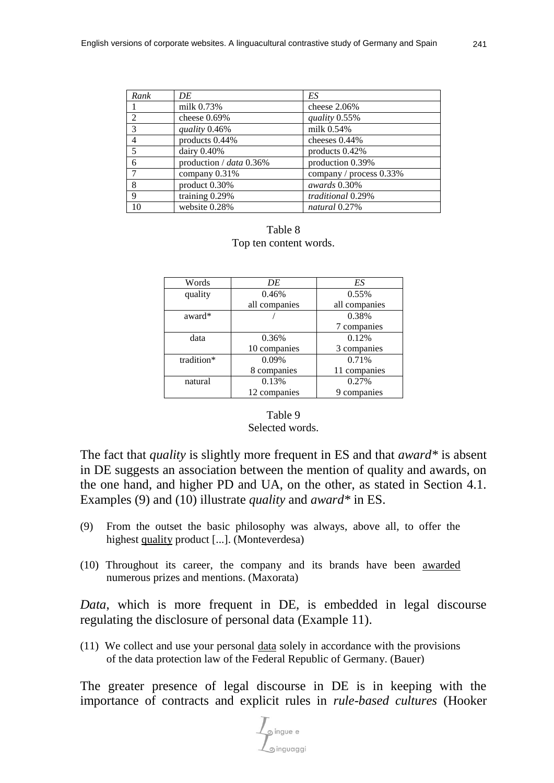| Rank                     | DE                      | ES                      |
|--------------------------|-------------------------|-------------------------|
|                          | milk 0.73%              | cheese $2.06%$          |
| $\mathcal{D}$            | cheese $0.69\%$         | quality 0.55%           |
| 3                        | quality 0.46%           | milk 0.54%              |
| $\overline{4}$           | products 0.44%          | cheeses $0.44\%$        |
| $\overline{\phantom{0}}$ | dairy $0.40\%$          | products $0.42\%$       |
| 6                        | production / data 0.36% | production 0.39%        |
|                          | company $0.31\%$        | company / process 0.33% |
| 8                        | product $0.30\%$        | awards 0.30%            |
| 9                        | training 0.29%          | traditional 0.29%       |
| 10                       | website 0.28%           | natural 0.27%           |

#### Table 8 Top ten content words.

| Words      | DE            | ES            |
|------------|---------------|---------------|
| quality    | 0.46%         | 0.55%         |
|            | all companies | all companies |
| award*     |               | 0.38%         |
|            |               | 7 companies   |
| data       | 0.36%         | 0.12%         |
|            | 10 companies  | 3 companies   |
| tradition* | $0.09\%$      | 0.71%         |
|            | 8 companies   | 11 companies  |
| natural    | 0.13%         | 0.27%         |
|            | 12 companies  | 9 companies   |

#### Table 9 Selected words.

The fact that *quality* is slightly more frequent in ES and that *award\** is absent in DE suggests an association between the mention of quality and awards, on the one hand, and higher PD and UA, on the other, as stated in Section 4.1. Examples (9) and (10) illustrate *quality* and *award\** in ES.

- (9) From the outset the basic philosophy was always, above all, to offer the highest quality product [...]. (Monteverdesa)
- (10) Throughout its career, the company and its brands have been awarded numerous prizes and mentions. (Maxorata)

*Data*, which is more frequent in DE, is embedded in legal discourse regulating the disclosure of personal data (Example 11).

(11) We collect and use your personal data solely in accordance with the provisions of the data protection law of the Federal Republic of Germany. (Bauer)

The greater presence of legal discourse in DE is in keeping with the importance of contracts and explicit rules in *rule-based cultures* (Hooker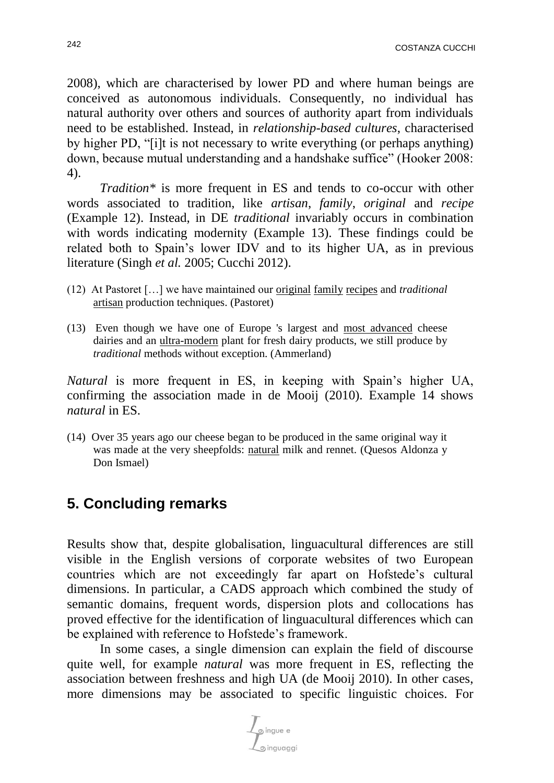2008), which are characterised by lower PD and where human beings are conceived as autonomous individuals. Consequently, no individual has natural authority over others and sources of authority apart from individuals need to be established. Instead, in *relationship-based cultures*, characterised by higher PD, "[i]t is not necessary to write everything (or perhaps anything) down, because mutual understanding and a handshake suffice" (Hooker 2008: 4).

*Tradition\** is more frequent in ES and tends to co-occur with other words associated to tradition, like *artisan*, *family*, *original* and *recipe* (Example 12). Instead, in DE *traditional* invariably occurs in combination with words indicating modernity (Example 13). These findings could be related both to Spain's lower IDV and to its higher UA, as in previous literature (Singh *et al.* 2005; Cucchi 2012).

- (12) At Pastoret […] we have maintained our original family recipes and *traditional* artisan production techniques. (Pastoret)
- (13) Even though we have one of Europe 's largest and most advanced cheese dairies and an ultra-modern plant for fresh dairy products, we still produce by *traditional* methods without exception. (Ammerland)

*Natural* is more frequent in ES, in keeping with Spain's higher UA, confirming the association made in de Mooij (2010). Example 14 shows *natural* in ES.

(14) Over 35 years ago our cheese began to be produced in the same original way it was made at the very sheepfolds: natural milk and rennet. (Quesos Aldonza y Don Ismael)

# **5. Concluding remarks**

Results show that, despite globalisation, linguacultural differences are still visible in the English versions of corporate websites of two European countries which are not exceedingly far apart on Hofstede's cultural dimensions. In particular, a CADS approach which combined the study of semantic domains, frequent words, dispersion plots and collocations has proved effective for the identification of linguacultural differences which can be explained with reference to Hofstede's framework.

In some cases, a single dimension can explain the field of discourse quite well, for example *natural* was more frequent in ES, reflecting the association between freshness and high UA (de Mooij 2010). In other cases, more dimensions may be associated to specific linguistic choices. For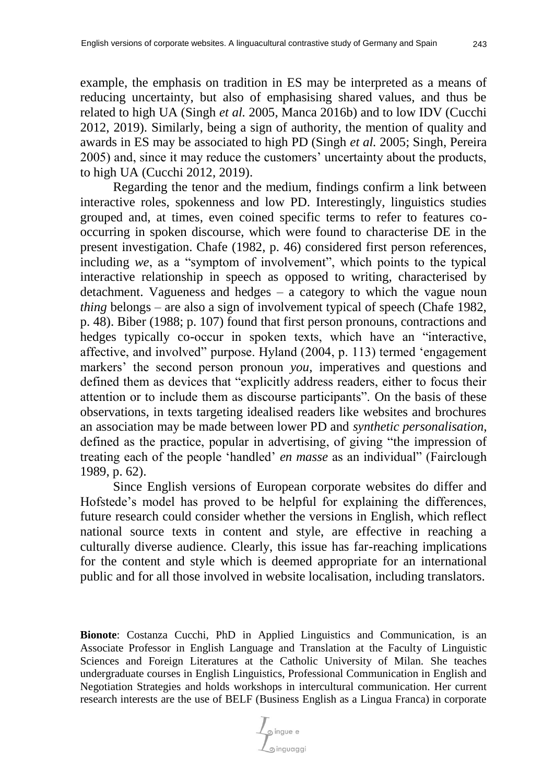example, the emphasis on tradition in ES may be interpreted as a means of reducing uncertainty, but also of emphasising shared values, and thus be related to high UA (Singh *et al.* 2005, Manca 2016b) and to low IDV (Cucchi 2012, 2019). Similarly, being a sign of authority, the mention of quality and awards in ES may be associated to high PD (Singh *et al.* 2005; Singh, Pereira 2005) and, since it may reduce the customers' uncertainty about the products, to high UA (Cucchi 2012, 2019).

Regarding the tenor and the medium, findings confirm a link between interactive roles, spokenness and low PD. Interestingly, linguistics studies grouped and, at times, even coined specific terms to refer to features cooccurring in spoken discourse, which were found to characterise DE in the present investigation. Chafe (1982, p. 46) considered first person references, including *we*, as a "symptom of involvement", which points to the typical interactive relationship in speech as opposed to writing, characterised by detachment. Vagueness and hedges  $-$  a category to which the vague noun *thing* belongs – are also a sign of involvement typical of speech (Chafe 1982, p. 48). Biber (1988; p. 107) found that first person pronouns, contractions and hedges typically co-occur in spoken texts, which have an "interactive, affective, and involved" purpose. Hyland (2004, p. 113) termed 'engagement markers' the second person pronoun *you*, imperatives and questions and defined them as devices that "explicitly address readers, either to focus their attention or to include them as discourse participants". On the basis of these observations, in texts targeting idealised readers like websites and brochures an association may be made between lower PD and *synthetic personalisation*, defined as the practice, popular in advertising, of giving "the impression of treating each of the people 'handled' *en masse* as an individual" (Fairclough 1989, p. 62).

Since English versions of European corporate websites do differ and Hofstede's model has proved to be helpful for explaining the differences, future research could consider whether the versions in English, which reflect national source texts in content and style, are effective in reaching a culturally diverse audience. Clearly, this issue has far-reaching implications for the content and style which is deemed appropriate for an international public and for all those involved in website localisation, including translators.

**Bionote**: Costanza Cucchi, PhD in Applied Linguistics and Communication, is an Associate Professor in English Language and Translation at the Faculty of Linguistic Sciences and Foreign Literatures at the Catholic University of Milan. She teaches undergraduate courses in English Linguistics, Professional Communication in English and Negotiation Strategies and holds workshops in intercultural communication. Her current research interests are the use of BELF (Business English as a Lingua Franca) in corporate

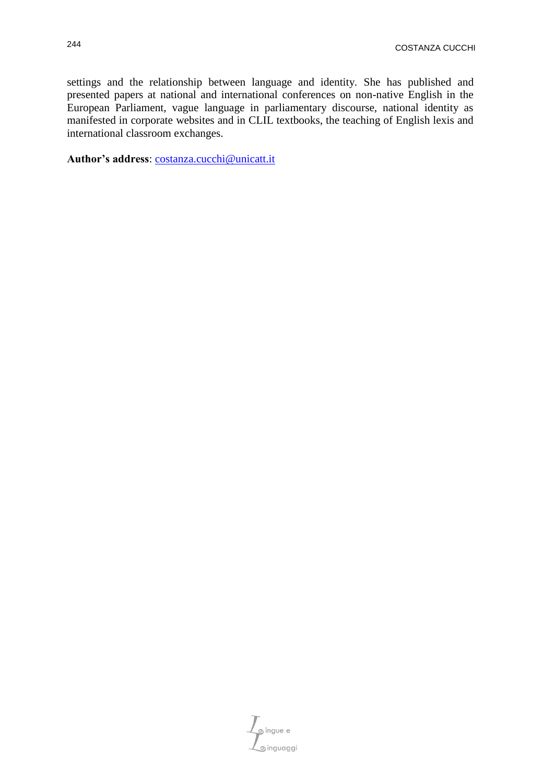settings and the relationship between language and identity. She has published and presented papers at national and international conferences on non-native English in the European Parliament, vague language in parliamentary discourse, national identity as manifested in corporate websites and in CLIL textbooks, the teaching of English lexis and international classroom exchanges.

**Author's address**: [costanza.cucchi@unicatt.it](mailto:costanza.cucchi@unicatt.it)

 $\mathcal{L}_{\text{gingue e}}$ singuaggi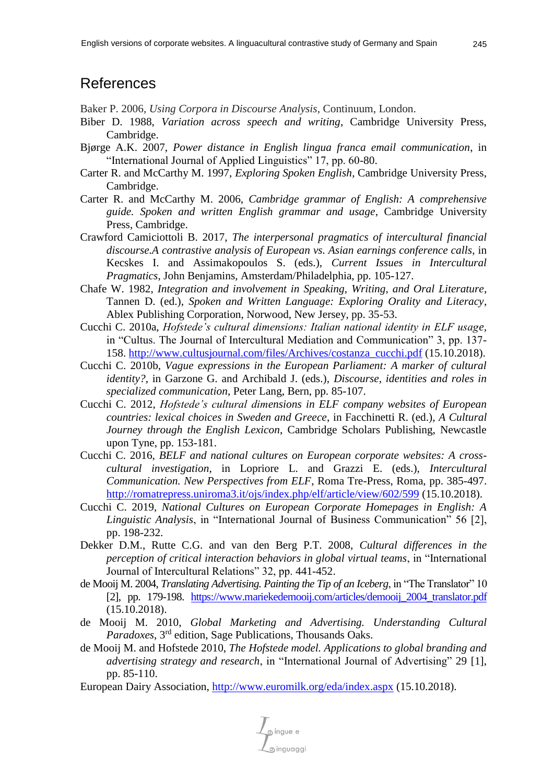## References

Baker P. 2006, *Using Corpora in Discourse Analysis*, Continuum, London.

- Biber D. 1988, *Variation across speech and writing*, Cambridge University Press, Cambridge.
- Bjørge A.K. 2007, *Power distance in English lingua franca email communication*, in "International Journal of Applied Linguistics" 17, pp. 60-80.
- Carter R. and McCarthy M. 1997, *Exploring Spoken English*, Cambridge University Press, Cambridge.
- Carter R. and McCarthy M. 2006, *Cambridge grammar of English: A comprehensive guide. Spoken and written English grammar and usage*, Cambridge University Press, Cambridge.
- Crawford Camiciottoli B. 2017, *The interpersonal pragmatics of intercultural financial discourse.A contrastive analysis of European vs. Asian earnings conference calls*, in Kecskes I. and Assimakopoulos S. (eds.), *Current Issues in Intercultural Pragmatics*, John Benjamins, Amsterdam/Philadelphia, pp. 105-127.
- Chafe W. 1982, *Integration and involvement in Speaking, Writing, and Oral Literature*, Tannen D. (ed.), *Spoken and Written Language: Exploring Orality and Literacy*, Ablex Publishing Corporation, Norwood, New Jersey, pp. 35-53.
- Cucchi C. 2010a, *Hofstede's cultural dimensions: Italian national identity in ELF usage*, in "Cultus. The Journal of Intercultural Mediation and Communication" 3, pp. 137- 158. [http://www.cultusjournal.com/files/Archives/costanza\\_cucchi.pdf](http://www.cultusjournal.com/files/Archives/costanza_cucchi.pdf) (15.10.2018).
- Cucchi C. 2010b, *Vague expressions in the European Parliament: A marker of cultural identity?*, in Garzone G. and Archibald J. (eds.), *Discourse, identities and roles in specialized communication*, Peter Lang, Bern, pp. 85-107.
- Cucchi C. 2012, *Hofstede's cultural dimensions in ELF company websites of European countries: lexical choices in Sweden and Greece*, in Facchinetti R. (ed.), *A Cultural Journey through the English Lexicon*, Cambridge Scholars Publishing, Newcastle upon Tyne, pp. 153-181.
- Cucchi C. 2016, *BELF and national cultures on European corporate websites: A crosscultural investigation*, in Lopriore L. and Grazzi E. (eds.), *Intercultural Communication. New Perspectives from ELF*, Roma Tre-Press, Roma, pp. 385-497. <http://romatrepress.uniroma3.it/ojs/index.php/elf/article/view/602/599> (15.10.2018).
- Cucchi C. 2019, *National Cultures on European Corporate Homepages in English: A Linguistic Analysis*, in "International Journal of Business Communication" 56 [2], pp. 198-232.
- Dekker D.M., Rutte C.G. and van den Berg P.T. 2008, *Cultural differences in the perception of critical interaction behaviors in global virtual teams*, in "International Journal of Intercultural Relations" 32, pp. 441-452.
- de Mooij M. 2004, *Translating Advertising. Painting the Tip of an Iceberg*, in "The Translator" 10 [2], pp. 179-198. [https://www.mariekedemooij.com/articles/demooij\\_2004\\_translator.pdf](https://www.mariekedemooij.com/articles/demooij_2004_translator.pdf) (15.10.2018).
- de Mooij M. 2010, *Global Marketing and Advertising. Understanding Cultural Paradoxes*, 3rd edition, Sage Publications, Thousands Oaks.
- de Mooij M. and Hofstede 2010, *The Hofstede model. Applications to global branding and advertising strategy and research*, in "International Journal of Advertising" 29 [1], pp. 85-110.
- European Dairy Association,<http://www.euromilk.org/eda/index.aspx> (15.10.2018).

pingue e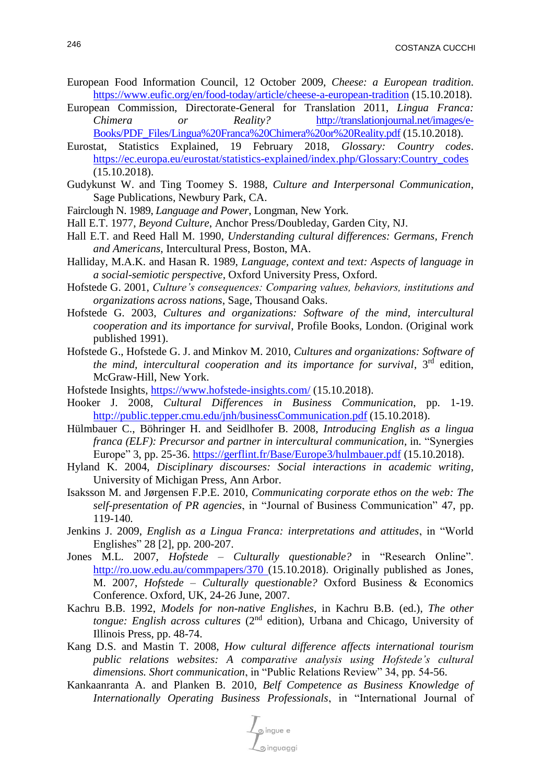- European Food Information Council, 12 October 2009, *Cheese: a European tradition*. <https://www.eufic.org/en/food-today/article/cheese-a-european-tradition> (15.10.2018).
- European Commission, Directorate-General for Translation 2011, *Lingua Franca: Chimera or Reality?* [http://translationjournal.net/images/e-](http://translationjournal.net/images/e-Books/PDF_Files/Lingua%20Franca%20Chimera%20or%20Reality.pdf)[Books/PDF\\_Files/Lingua%20Franca%20Chimera%20or%20Reality.pdf](http://translationjournal.net/images/e-Books/PDF_Files/Lingua%20Franca%20Chimera%20or%20Reality.pdf) (15.10.2018).
- Eurostat, Statistics Explained, 19 February 2018, *Glossary: Country codes*. [https://ec.europa.eu/eurostat/statistics-explained/index.php/Glossary:Country\\_codes](https://ec.europa.eu/eurostat/statistics-explained/index.php/Glossary:Country_codes) (15.10.2018).
- Gudykunst W. and Ting Toomey S. 1988, *Culture and Interpersonal Communication*, Sage Publications, Newbury Park, CA.
- Fairclough N. 1989, *Language and Power*, Longman, New York.
- Hall E.T. 1977, *Beyond Culture*, Anchor Press/Doubleday, Garden City, NJ.
- Hall E.T. and Reed Hall M. 1990, *Understanding cultural differences: Germans, French and Americans*, Intercultural Press, Boston, MA.
- Halliday, M.A.K. and Hasan R. 1989, *Language, context and text: Aspects of language in a social-semiotic perspective*, Oxford University Press, Oxford.
- Hofstede G. 2001, *Culture's consequences: Comparing values, behaviors, institutions and organizations across nations*, Sage, Thousand Oaks.
- Hofstede G. 2003, *Cultures and organizations: Software of the mind, intercultural cooperation and its importance for survival*, Profile Books, London. (Original work published 1991).
- Hofstede G., Hofstede G. J. and Minkov M. 2010, *Cultures and organizations: Software of the mind, intercultural cooperation and its importance for survival*, 3rd edition, McGraw-Hill, New York.
- Hofstede Insights,<https://www.hofstede-insights.com/> (15.10.2018).
- Hooker J. 2008, *Cultural Differences in Business Communication*, pp. 1-19. <http://public.tepper.cmu.edu/jnh/businessCommunication.pdf> (15.10.2018).
- Hülmbauer C., Böhringer H. and Seidlhofer B. 2008, *Introducing English as a lingua franca (ELF): Precursor and partner in intercultural communication*, in*.* "Synergies Europe" 3, pp. 25-36.<https://gerflint.fr/Base/Europe3/hulmbauer.pdf> (15.10.2018).
- Hyland K. 2004, *Disciplinary discourses: Social interactions in academic writing*, University of Michigan Press, Ann Arbor.
- Isaksson M. and Jørgensen F.P.E. 2010, *Communicating corporate ethos on the web: The self-presentation of PR agencies*, in "Journal of Business Communication" 47, pp. 119-140*.*
- Jenkins J. 2009, *English as a Lingua Franca: interpretations and attitudes*, in "World Englishes" 28 [2], pp. 200-207.
- Jones M.L. 2007, *Hofstede – Culturally questionable?* in "Research Online". <http://ro.uow.edu.au/commpapers/370> (15.10.2018). Originally published as Jones, M. 2007, *Hofstede – Culturally questionable?* Oxford Business & Economics Conference. Oxford, UK, 24-26 June, 2007.
- Kachru B.B. 1992, *Models for non-native Englishes*, in Kachru B.B. (ed.), *The other tongue: English across cultures* (2<sup>nd</sup> edition), Urbana and Chicago, University of Illinois Press, pp. 48-74.
- Kang D.S. and Mastin T. 2008, *How cultural difference affects international tourism public relations websites: A comparative analysis using Hofstede's cultural dimensions. Short communication*, in "Public Relations Review" 34, pp. 54-56.
- [Kankaanranta](http://job.sagepub.com/search?author1=Anne+Kankaanranta&sortspec=date&submit=Submit) A. and [Planken](http://job.sagepub.com/search?author1=Brigitte+Planken&sortspec=date&submit=Submit) B. 2010, *Belf Competence as Business Knowledge of Internationally Operating Business Professionals*, in "International Journal of

 $\frac{1}{\sqrt{\frac{1}{2}}\sqrt{\frac{1}{2}}}}$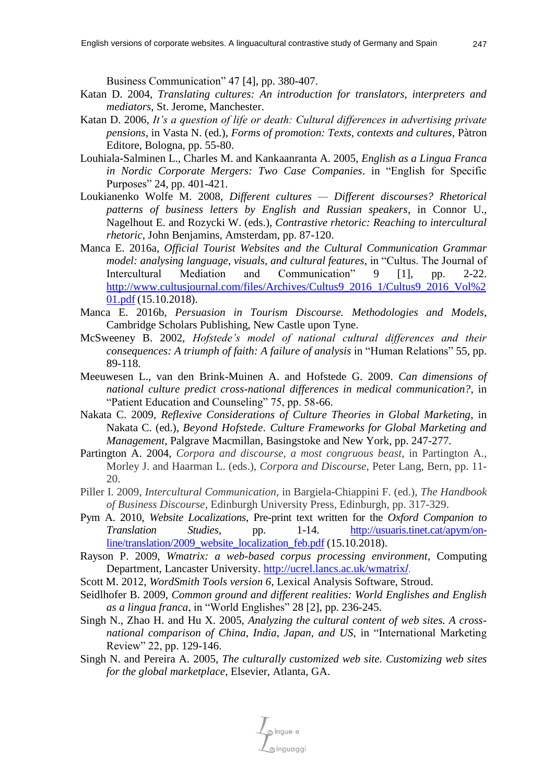Business Communication" 47 [4], pp. 380-407.

- Katan D. 2004, *Translating cultures: An introduction for translators, interpreters and mediators*, St. Jerome, Manchester.
- Katan D. 2006, *It's a question of life or death: Cultural differences in advertising private pensions*, in Vasta N. (ed.), *Forms of promotion: Texts, contexts and cultures*, Pàtron Editore, Bologna, pp. 55-80.
- Louhiala-Salminen L., Charles M. and Kankaanranta A. 2005, *English as a Lingua Franca in Nordic Corporate Mergers: Two Case Companies*. in "English for Specific Purposes" 24, pp. 401-421.
- Loukianenko Wolfe M. 2008, *Different cultures — Different discourses? Rhetorical patterns of business letters by English and Russian speakers*, in Connor U., Nagelhout E. and Rozycki W. (eds.), *Contrastive rhetoric: Reaching to intercultural rhetoric*, John Benjamins, Amsterdam, pp. 87-120.
- Manca E. 2016a, *Official Tourist Websites and the Cultural Communication Grammar model: analysing language, visuals, and cultural features*, in "Cultus. The Journal of Intercultural Mediation and Communication" 9 [1], pp. 2-22. [http://www.cultusjournal.com/files/Archives/Cultus9\\_2016\\_1/Cultus9\\_2016\\_Vol%2](http://www.cultusjournal.com/files/Archives/Cultus9_2016_1/Cultus9_2016_Vol%201.pdf) [01.pdf](http://www.cultusjournal.com/files/Archives/Cultus9_2016_1/Cultus9_2016_Vol%201.pdf) (15.10.2018).
- Manca E. 2016b, *Persuasion in Tourism Discourse. Methodologies and Models*, Cambridge Scholars Publishing, New Castle upon Tyne.
- McSweeney B. 2002, *Hofstede's model of national cultural differences and their consequences: A triumph of faith: A failure of analysis* in "Human Relations" 55, pp. 89-118.
- Meeuwesen L., van den Brink-Muinen A. and Hofstede G. 2009. *Can dimensions of national culture predict cross-national differences in medical communication?*, in "Patient Education and Counseling" 75, pp. 58-66.
- Nakata C. 2009, *Reflexive Considerations of Culture Theories in Global Marketing*, in Nakata C. (ed.), *Beyond Hofstede. Culture Frameworks for Global Marketing and Management*, Palgrave Macmillan, Basingstoke and New York, pp. 247-277.
- Partington A. 2004, *Corpora and discourse, a most congruous beast*, in Partington A., Morley J. and Haarman L. (eds.), *Corpora and Discourse*, Peter Lang, Bern, pp. 11- 20.
- Piller I. 2009, *Intercultural Communication*, in Bargiela-Chiappini F. (ed.), *The Handbook of Business Discourse*, Edinburgh University Press, Edinburgh, pp. 317-329.
- Pym A. 2010, *Website Localizations*, Pre-print text written for the *Oxford Companion to Translation Studies*, pp. 1-14. [http://usuaris.tinet.cat/apym/on](http://usuaris.tinet.cat/apym/on-line/translation/2009_website_localization_feb.pdf)[line/translation/2009\\_website\\_localization\\_feb.pdf](http://usuaris.tinet.cat/apym/on-line/translation/2009_website_localization_feb.pdf) (15.10.2018).
- Rayson P. 2009, *Wmatrix: a web-based corpus processing environment*, Computing Department, Lancaster University. [http://ucrel.lancs.ac.uk/wmatrix](http://ucrel.lancs.ac.uk/wmatrix/)/.
- Scott M. 2012, *WordSmith Tools version 6*, Lexical Analysis Software, Stroud.
- Seidlhofer B. 2009, *Common ground and different realities: World Englishes and English as a lingua franca*, in "World Englishes" 28 [2], pp. 236-245.
- Singh N., Zhao H. and Hu X. 2005, *Analyzing the cultural content of web sites. A crossnational comparison of China, India, Japan, and US*, in "International Marketing Review" 22, pp. 129-146.
- Singh N. and Pereira A. 2005, *The culturally customized web site. Customizing web sites for the global marketplace*, Elsevier, Atlanta, GA.

pingue e